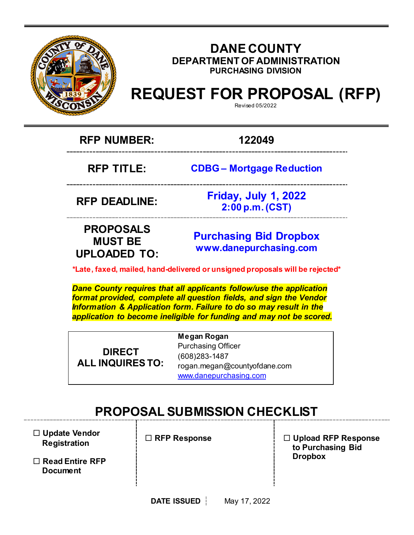

### **DANE COUNTY DEPARTMENT OF ADMINISTRATION PURCHASING DIVISION**

# **REQUEST FOR PROPOSAL (RFP)**

Revised 05/2022

**RFP NUMBER: 122049**

**RFP TITLE: CDBG – Mortgage Reduction**

**RFP DEADLINE:**

**Friday, July 1, 2022 2:00 p.m. (CST)**

## **PROPOSALS MUST BE UPLOADED TO:**

**[Purchasing](mailto:BIDS@COUNTYOFDANE.COM) Bid Dropbox [www.danepurchasing.com](file://daneco.us/dfs/Department/purchasing/Shared/Forms%20&%20Templates/www.danepurchasing.com)**

**\*Late, faxed, mailed, hand-delivered or unsigned proposals will be rejected\***

*Dane County requires that all applicants follow/use the application format provided, complete all question fields, and sign the Vendor Information & Application form. Failure to do so may result in the application to become ineligible for funding and may not be scored.*

**DIRECT ALL INQUIRES TO:** **Megan Rogan** Purchasing Officer (608)283-1487 rogan.megan@countyofdane.com [www.danepurchasing.com](http://www.danepurchasing.com/)

## **PROPOSAL SUBMISSION CHECKLIST**

 **Update Vendor Registration**

 **Read Entire RFP Document**

 **RFP Response Upload RFP Response to Purchasing Bid Dropbox**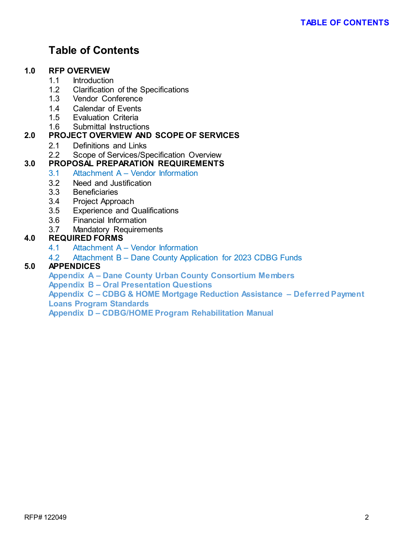## **Table of Contents**

#### **1.0 RFP OVERVIEW**

- 1.1 Introduction<br>1.2 Clarification
- Clarification of the Specifications
- 1.3 Vendor Conference
- 1.4 Calendar of Events
- 1.5 Evaluation Criteria
- 1.6 Submittal Instructions

#### **2.0 PROJECT OVERVIEW AND SCOPE OF SERVICES**

- 2.1 Definitions and Links<br>2.2 Scope of Services/Sr
- Scope of Services/Specification Overview

#### **3.0 PROPOSAL PREPARATION REQUIREMENTS**

- 3.1 Attachment A Vendor Information
- 3.2 Need and Justification
- 3.3 Beneficiaries
- 3.4 Project Approach
- 3.5 Experience and Qualifications
- 3.6 Financial Information
- 3.7 Mandatory Requirements

#### **4.0 REQUIRED FORMS**

- 4.1 Attachment A Vendor Information
- 4.2 Attachment B Dane County Application for 2023 CDBG Funds

#### **5.0 APPENDICES**

**Appendix A – Dane County Urban County Consortium Members**

**Appendix B – Oral Presentation Questions** 

**Appendix C – CDBG & HOME Mortgage Reduction Assistance – Deferred Payment Loans Program Standards** 

**Appendix D – CDBG/HOME Program Rehabilitation Manual**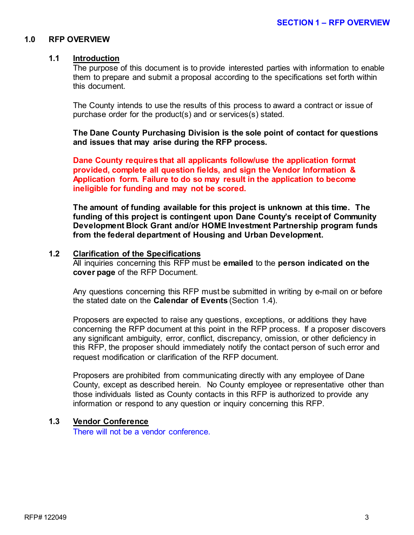#### **1.0 RFP OVERVIEW**

#### **1.1 Introduction**

The purpose of this document is to provide interested parties with information to enable them to prepare and submit a proposal according to the specifications set forth within this document.

The County intends to use the results of this process to award a contract or issue of purchase order for the product(s) and or services(s) stated.

**The Dane County Purchasing Division is the sole point of contact for questions and issues that may arise during the RFP process.**

**Dane County requires that all applicants follow/use the application format provided, complete all question fields, and sign the Vendor Information & Application form. Failure to do so may result in the application to become ineligible for funding and may not be scored.**

**The amount of funding available for this project is unknown at this time. The funding of this project is contingent upon Dane County's receipt of Community Development Block Grant and/or HOME Investment Partnership program funds from the federal department of Housing and Urban Development.**

#### **1.2 Clarification of the Specifications**

All inquiries concerning this RFP must be **emailed** to the **person indicated on the cover page** of the RFP Document.

Any questions concerning this RFP must be submitted in writing by e-mail on or before the stated date on the **Calendar of Events** (Section 1.4).

Proposers are expected to raise any questions, exceptions, or additions they have concerning the RFP document at this point in the RFP process. If a proposer discovers any significant ambiguity, error, conflict, discrepancy, omission, or other deficiency in this RFP, the proposer should immediately notify the contact person of such error and request modification or clarification of the RFP document.

Proposers are prohibited from communicating directly with any employee of Dane County, except as described herein. No County employee or representative other than those individuals listed as County contacts in this RFP is authorized to provide any information or respond to any question or inquiry concerning this RFP.

#### **1.3 Vendor Conference**

There will not be a vendor conference.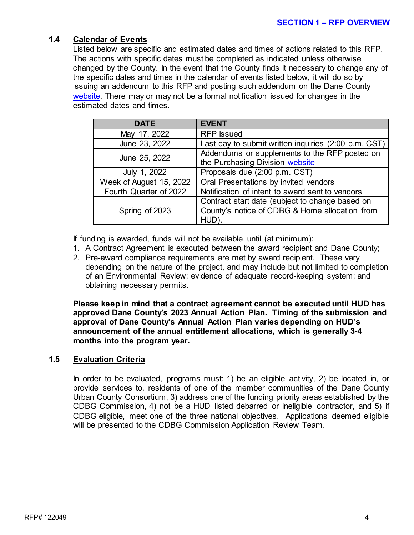#### **1.4 Calendar of Events**

Listed below are specific and estimated dates and times of actions related to this RFP. The actions with specific dates must be completed as indicated unless otherwise changed by the County. In the event that the County finds it necessary to change any of the specific dates and times in the calendar of events listed below, it will do so by issuing an addendum to this RFP and posting such addendum on the Dane County [website.](http://www.danepurchasing.com/) There may or may not be a formal notification issued for changes in the estimated dates and times.

| <b>DATE</b>             | <b>EVENT</b>                                                                                               |
|-------------------------|------------------------------------------------------------------------------------------------------------|
| May 17, 2022            | <b>RFP</b> Issued                                                                                          |
| June 23, 2022           | Last day to submit written inquiries (2:00 p.m. CST)                                                       |
| June 25, 2022           | Addendums or supplements to the RFP posted on<br>the Purchasing Division website                           |
| July 1, 2022            | Proposals due (2:00 p.m. CST)                                                                              |
| Week of August 15, 2022 | Oral Presentations by invited vendors                                                                      |
| Fourth Quarter of 2022  | Notification of intent to award sent to vendors                                                            |
| Spring of 2023          | Contract start date (subject to change based on<br>County's notice of CDBG & Home allocation from<br>HUD). |

If funding is awarded, funds will not be available until (at minimum):

- 1. A Contract Agreement is executed between the award recipient and Dane County;
- 2. Pre-award compliance requirements are met by award recipient. These vary depending on the nature of the project, and may include but not limited to completion of an Environmental Review; evidence of adequate record-keeping system; and obtaining necessary permits.

**Please keep in mind that a contract agreement cannot be executed until HUD has approved Dane County's 2023 Annual Action Plan. Timing of the submission and approval of Dane County's Annual Action Plan varies depending on HUD's announcement of the annual entitlement allocations, which is generally 3-4 months into the program year.** 

#### **1.5 Evaluation Criteria**

In order to be evaluated, programs must: 1) be an eligible activity, 2) be located in, or provide services to, residents of one of the member communities of the Dane County Urban County Consortium, 3) address one of the funding priority areas established by the CDBG Commission, 4) not be a HUD listed debarred or ineligible contractor, and 5) if CDBG eligible, meet one of the three national objectives. Applications deemed eligible will be presented to the CDBG Commission Application Review Team.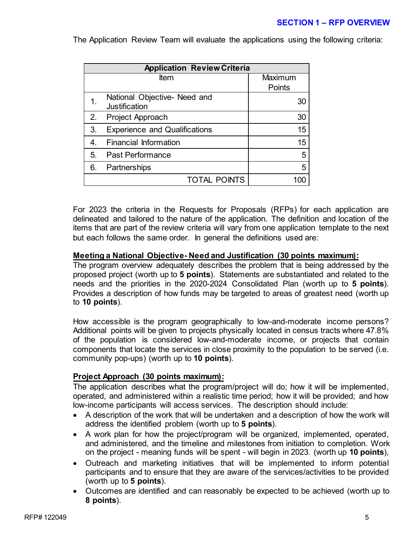#### **SECTION 1 – RFP OVERVIEW**

| <b>Application Review Criteria</b> |                                                      |         |
|------------------------------------|------------------------------------------------------|---------|
| ltem                               |                                                      | Maximum |
|                                    |                                                      | Points  |
|                                    | National Objective- Need and<br><b>Justification</b> | 30      |
| 2.                                 | Project Approach                                     | 30      |
| 3.                                 | <b>Experience and Qualifications</b>                 | 15      |
| 4.                                 | <b>Financial Information</b>                         | 15      |
| 5.                                 | <b>Past Performance</b>                              | 5       |
| 6.                                 | Partnerships                                         | 5       |
|                                    | <b>TOTAL POINTS</b>                                  |         |

The Application Review Team will evaluate the applications using the following criteria:

For 2023 the criteria in the Requests for Proposals (RFPs) for each application are delineated and tailored to the nature of the application. The definition and location of the items that are part of the review criteria will vary from one application template to the next but each follows the same order. In general the definitions used are:

#### **Meeting a National Objective- Need and Justification (30 points maximum):**

The program overview adequately describes the problem that is being addressed by the proposed project (worth up to **5 points**). Statements are substantiated and related to the needs and the priorities in the 2020-2024 Consolidated Plan (worth up to **5 points**). Provides a description of how funds may be targeted to areas of greatest need (worth up to **10 points**).

How accessible is the program geographically to low-and-moderate income persons? Additional points will be given to projects physically located in census tracts where 47.8% of the population is considered low-and-moderate income, or projects that contain components that locate the services in close proximity to the population to be served (i.e. community pop-ups) (worth up to **10 points**).

#### **Project Approach (30 points maximum):**

The application describes what the program/project will do; how it will be implemented, operated, and administered within a realistic time period; how it will be provided; and how low-income participants will access services. The description should include:

- A description of the work that will be undertaken and a description of how the work will address the identified problem (worth up to **5 points**).
- A work plan for how the project/program will be organized, implemented, operated, and administered, and the timeline and milestones from initiation to completion. Work on the project - meaning funds will be spent - will begin in 2023. (worth up **10 points**),
- Outreach and marketing initiatives that will be implemented to inform potential participants and to ensure that they are aware of the services/activities to be provided (worth up to **5 points**).
- Outcomes are identified and can reasonably be expected to be achieved (worth up to **8 points**).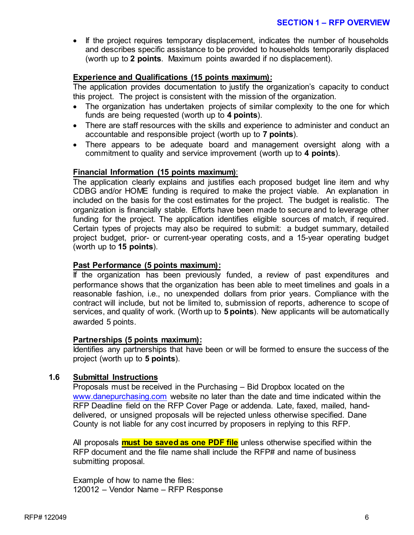• If the project requires temporary displacement, indicates the number of households and describes specific assistance to be provided to households temporarily displaced (worth up to **2 points**. Maximum points awarded if no displacement).

#### **Experience and Qualifications (15 points maximum):**

The application provides documentation to justify the organization's capacity to conduct this project. The project is consistent with the mission of the organization.

- The organization has undertaken projects of similar complexity to the one for which funds are being requested (worth up to **4 points**).
- There are staff resources with the skills and experience to administer and conduct an accountable and responsible project (worth up to **7 points**).
- There appears to be adequate board and management oversight along with a commitment to quality and service improvement (worth up to **4 points**).

#### **Financial Information (15 points maximum)**:

The application clearly explains and justifies each proposed budget line item and why CDBG and/or HOME funding is required to make the project viable. An explanation in included on the basis for the cost estimates for the project. The budget is realistic. The organization is financially stable. Efforts have been made to secure and to leverage other funding for the project. The application identifies eligible sources of match, if required. Certain types of projects may also be required to submit: a budget summary, detailed project budget, prior- or current-year operating costs, and a 15-year operating budget (worth up to **15 points**).

#### **Past Performance (5 points maximum):**

If the organization has been previously funded, a review of past expenditures and performance shows that the organization has been able to meet timelines and goals in a reasonable fashion, i.e., no unexpended dollars from prior years. Compliance with the contract will include, but not be limited to, submission of reports, adherence to scope of services, and quality of work. (Worth up to **5 points**). New applicants will be automatically awarded 5 points.

#### **Partnerships (5 points maximum):**

Identifies any partnerships that have been or will be formed to ensure the success of the project (worth up to **5 points**).

#### **1.6 Submittal Instructions**

Proposals must be received in the Purchasing – Bid Dropbox located on the [www.danepurchasing.com](http://www.danepurchasing.com/) website no later than the date and time indicated within the RFP Deadline field on the RFP Cover Page or addenda. Late, faxed, mailed, handdelivered, or unsigned proposals will be rejected unless otherwise specified. Dane County is not liable for any cost incurred by proposers in replying to this RFP.

All proposals **must be saved as one PDF file** unless otherwise specified within the RFP document and the file name shall include the RFP# and name of business submitting proposal.

Example of how to name the files: 120012 – Vendor Name – RFP Response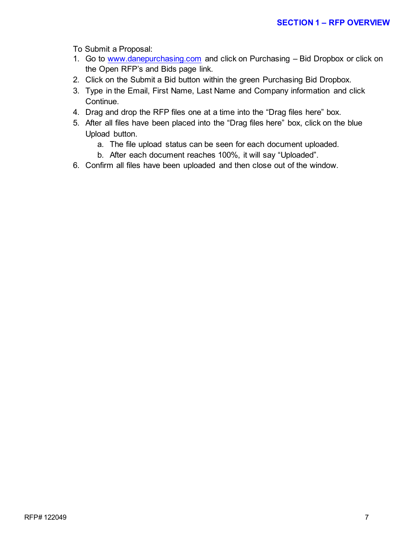To Submit a Proposal:

- 1. Go to [www.danepurchasing.com](http://www.danepurchasing.com/) and click on Purchasing Bid Dropbox or click on the Open RFP's and Bids page link.
- 2. Click on the Submit a Bid button within the green Purchasing Bid Dropbox.
- 3. Type in the Email, First Name, Last Name and Company information and click Continue.
- 4. Drag and drop the RFP files one at a time into the "Drag files here" box.
- 5. After all files have been placed into the "Drag files here" box, click on the blue Upload button.
	- a. The file upload status can be seen for each document uploaded.
	- b. After each document reaches 100%, it will say "Uploaded".
- 6. Confirm all files have been uploaded and then close out of the window.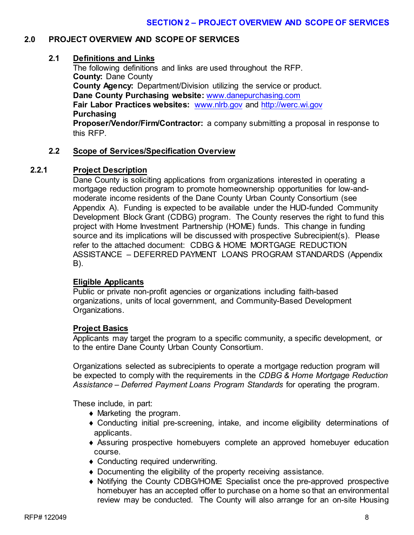#### **2.0 PROJECT OVERVIEW AND SCOPE OF SERVICES**

#### **2.1 Definitions and Links**

The following definitions and links are used throughout the RFP. **County:** Dane County **County Agency:** Department/Division utilizing the service or product. **Dane County Purchasing website:** [www.danepurchasing.com](http://www.danepurchasing.com/) **Fair Labor Practices websites:** [www.nlrb.gov](http://www.nlrb.gov/) and [http://werc.wi.gov](http://werc.wi.gov/) **Purchasing Proposer/Vendor/Firm/Contractor:** a company submitting a proposal in response to

this RFP.

#### **2.2 Scope of Services/Specification Overview**

#### **2.2.1 Project Description**

Dane County is soliciting applications from organizations interested in operating a mortgage reduction program to promote homeownership opportunities for low-andmoderate income residents of the Dane County Urban County Consortium (see Appendix A). Funding is expected to be available under the HUD-funded Community Development Block Grant (CDBG) program. The County reserves the right to fund this project with Home Investment Partnership (HOME) funds. This change in funding source and its implications will be discussed with prospective Subrecipient(s). Please refer to the attached document: CDBG & HOME MORTGAGE REDUCTION ASSISTANCE – DEFERRED PAYMENT LOANS PROGRAM STANDARDS (Appendix B).

#### **Eligible Applicants**

Public or private non-profit agencies or organizations including faith-based organizations, units of local government, and Community-Based Development Organizations.

#### **Project Basics**

Applicants may target the program to a specific community, a specific development, or to the entire Dane County Urban County Consortium.

Organizations selected as subrecipients to operate a mortgage reduction program will be expected to comply with the requirements in the *CDBG & Home Mortgage Reduction Assistance – Deferred Payment Loans Program Standards* for operating the program.

These include, in part:

- ♦ Marketing the program.
- ♦ Conducting initial pre-screening, intake, and income eligibility determinations of applicants.
- ♦ Assuring prospective homebuyers complete an approved homebuyer education course.
- ♦ Conducting required underwriting.
- ♦ Documenting the eligibility of the property receiving assistance.
- ♦ Notifying the County CDBG/HOME Specialist once the pre-approved prospective homebuyer has an accepted offer to purchase on a home so that an environmental review may be conducted. The County will also arrange for an on-site Housing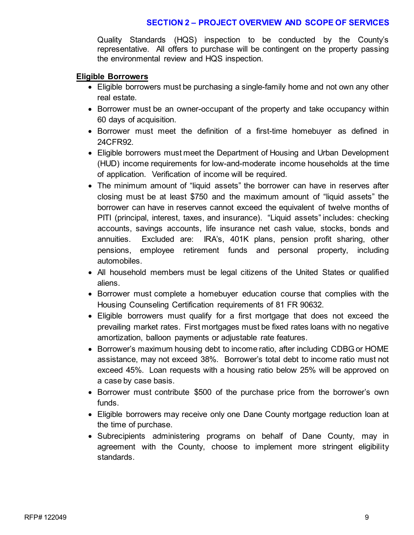#### **SECTION 2 – PROJECT OVERVIEW AND SCOPE OF SERVICES**

Quality Standards (HQS) inspection to be conducted by the County's representative. All offers to purchase will be contingent on the property passing the environmental review and HQS inspection.

#### **Eligible Borrowers**

- Eligible borrowers must be purchasing a single-family home and not own any other real estate.
- Borrower must be an owner-occupant of the property and take occupancy within 60 days of acquisition.
- Borrower must meet the definition of a first-time homebuyer as defined in 24CFR92.
- Eligible borrowers must meet the Department of Housing and Urban Development (HUD) income requirements for low-and-moderate income households at the time of application. Verification of income will be required.
- The minimum amount of "liquid assets" the borrower can have in reserves after closing must be at least \$750 and the maximum amount of "liquid assets" the borrower can have in reserves cannot exceed the equivalent of twelve months of PITI (principal, interest, taxes, and insurance). "Liquid assets" includes: checking accounts, savings accounts, life insurance net cash value, stocks, bonds and annuities. Excluded are: IRA's, 401K plans, pension profit sharing, other pensions, employee retirement funds and personal property, including automobiles.
- All household members must be legal citizens of the United States or qualified aliens.
- Borrower must complete a homebuyer education course that complies with the Housing Counseling Certification requirements of 81 FR 90632.
- Eligible borrowers must qualify for a first mortgage that does not exceed the prevailing market rates. First mortgages must be fixed rates loans with no negative amortization, balloon payments or adjustable rate features.
- Borrower's maximum housing debt to income ratio, after including CDBG or HOME assistance, may not exceed 38%. Borrower's total debt to income ratio must not exceed 45%. Loan requests with a housing ratio below 25% will be approved on a case by case basis.
- Borrower must contribute \$500 of the purchase price from the borrower's own funds.
- Eligible borrowers may receive only one Dane County mortgage reduction loan at the time of purchase.
- Subrecipients administering programs on behalf of Dane County, may in agreement with the County, choose to implement more stringent eligibility standards.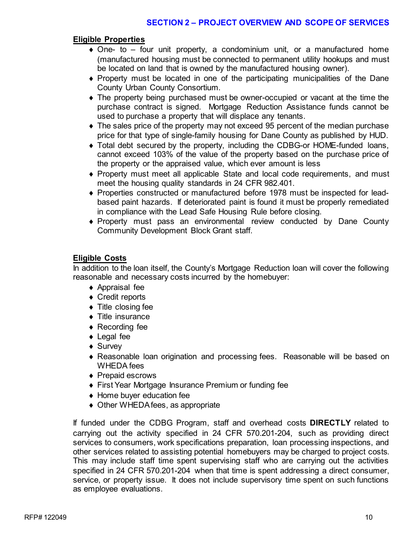#### **Eligible Properties**

- $\bullet$  One- to four unit property, a condominium unit, or a manufactured home (manufactured housing must be connected to permanent utility hookups and must be located on land that is owned by the manufactured housing owner).
- ♦ Property must be located in one of the participating municipalities of the Dane County Urban County Consortium.
- ♦ The property being purchased must be owner-occupied or vacant at the time the purchase contract is signed. Mortgage Reduction Assistance funds cannot be used to purchase a property that will displace any tenants.
- ♦ The sales price of the property may not exceed 95 percent of the median purchase price for that type of single-family housing for Dane County as published by HUD.
- ♦ Total debt secured by the property, including the CDBG-or HOME-funded loans, cannot exceed 103% of the value of the property based on the purchase price of the property or the appraised value, which ever amount is less
- ♦ Property must meet all applicable State and local code requirements, and must meet the housing quality standards in 24 CFR 982.401.
- ♦ Properties constructed or manufactured before 1978 must be inspected for leadbased paint hazards. If deteriorated paint is found it must be properly remediated in compliance with the Lead Safe Housing Rule before closing.
- ♦ Property must pass an environmental review conducted by Dane County Community Development Block Grant staff.

#### **Eligible Costs**

In addition to the loan itself, the County's Mortgage Reduction loan will cover the following reasonable and necessary costs incurred by the homebuyer:

- ♦ Appraisal fee
- ♦ Credit reports
- ♦ Title closing fee
- ♦ Title insurance
- ♦ Recording fee
- ♦ Legal fee
- ◆ Survey
- ♦ Reasonable loan origination and processing fees. Reasonable will be based on WHEDA fees
- ◆ Prepaid escrows
- ♦ First Year Mortgage Insurance Premium or funding fee
- ♦ Home buyer education fee
- ♦ Other WHEDA fees, as appropriate

If funded under the CDBG Program, staff and overhead costs **DIRECTLY** related to carrying out the activity specified in 24 CFR 570.201-204, such as providing direct services to consumers, work specifications preparation, loan processing inspections, and other services related to assisting potential homebuyers may be charged to project costs. This may include staff time spent supervising staff who are carrying out the activities specified in 24 CFR 570.201-204 when that time is spent addressing a direct consumer, service, or property issue. It does not include supervisory time spent on such functions as employee evaluations.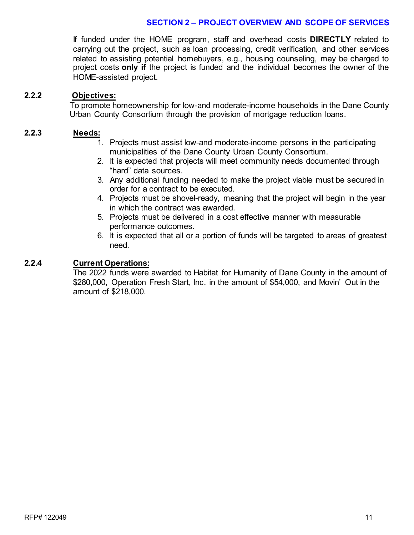#### **SECTION 2 – PROJECT OVERVIEW AND SCOPE OF SERVICES**

If funded under the HOME program, staff and overhead costs **DIRECTLY** related to carrying out the project, such as loan processing, credit verification, and other services related to assisting potential homebuyers, e.g., housing counseling, may be charged to project costs **only if** the project is funded and the individual becomes the owner of the HOME-assisted project.

#### **2.2.2 Objectives:**

To promote homeownership for low-and moderate-income households in the Dane County Urban County Consortium through the provision of mortgage reduction loans.

#### **2.2.3 Needs:**

- 1. Projects must assist low-and moderate-income persons in the participating municipalities of the Dane County Urban County Consortium.
- 2. It is expected that projects will meet community needs documented through "hard" data sources.
- 3. Any additional funding needed to make the project viable must be secured in order for a contract to be executed.
- 4. Projects must be shovel-ready, meaning that the project will begin in the year in which the contract was awarded.
- 5. Projects must be delivered in a cost effective manner with measurable performance outcomes.
- 6. It is expected that all or a portion of funds will be targeted to areas of greatest need.

#### **2.2.4 Current Operations:**

The 2022 funds were awarded to Habitat for Humanity of Dane County in the amount of \$280,000, Operation Fresh Start, Inc. in the amount of \$54,000, and Movin' Out in the amount of \$218,000.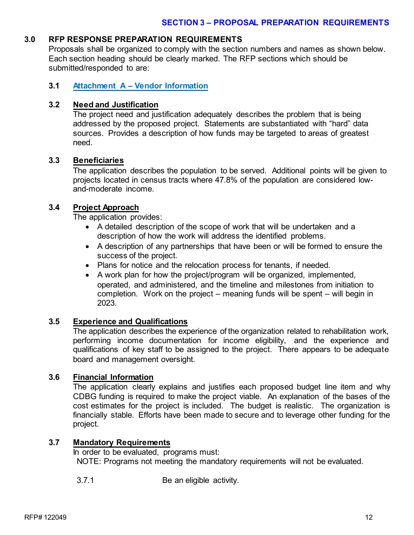#### **3.0 RFP RESPONSE PREPARATION REQUIREMENTS**

Proposals shall be organized to comply with the section numbers and names as shown below. Each section heading should be clearly marked. The RFP sections which should be submitted/responded to are:

#### **3.1 Attachment A – Vendor Information**

#### **3.2 Need and Justification**

The project need and justification adequately describes the problem that is being addressed by the proposed project. Statements are substantiated with "hard" data sources. Provides a description of how funds may be targeted to areas of greatest need.

#### **3.3 Beneficiaries**

The application describes the population to be served. Additional points will be given to projects located in census tracts where 47.8% of the population are considered lowand-moderate income.

#### **3.4 Project Approach**

The application provides:

- A detailed description of the scope of work that will be undertaken and a description of how the work will address the identified problems.
- A description of any partnerships that have been or will be formed to ensure the success of the project.
- Plans for notice and the relocation process for tenants, if needed.
- A work plan for how the project/program will be organized, implemented, operated, and administered, and the timeline and milestones from initiation to completion. Work on the project – meaning funds will be spent – will begin in 2023.

#### **3.5 Experience and Qualifications**

The application describes the experience of the organization related to rehabilitation work, performing income documentation for income eligibility, and the experience and qualifications of key staff to be assigned to the project. There appears to be adequate board and management oversight.

#### **3.6 Financial Information**

The application clearly explains and justifies each proposed budget line item and why CDBG funding is required to make the project viable. An explanation of the bases of the cost estimates for the project is included. The budget is realistic. The organization is financially stable. Efforts have been made to secure and to leverage other funding for the project.

#### **3.7 Mandatory Requirements**

In order to be evaluated, programs must: NOTE: Programs not meeting the mandatory requirements will not be evaluated.

3.7.1 Be an eligible activity.